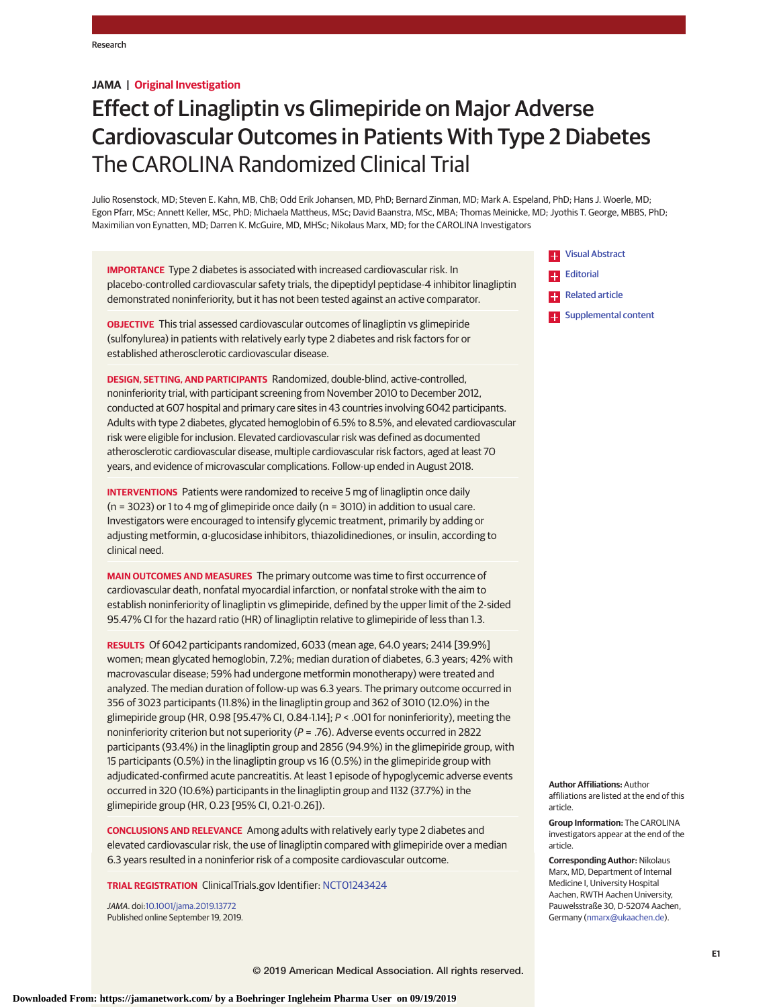# **JAMA | Original Investigation**

# Effect of Linagliptin vs Glimepiride on Major Adverse Cardiovascular Outcomes in Patients With Type 2 Diabetes The CAROLINA Randomized Clinical Trial

Julio Rosenstock, MD; Steven E. Kahn, MB, ChB; Odd Erik Johansen, MD, PhD; Bernard Zinman, MD; Mark A. Espeland, PhD; Hans J. Woerle, MD; Egon Pfarr, MSc; Annett Keller, MSc, PhD; Michaela Mattheus, MSc; David Baanstra, MSc, MBA; Thomas Meinicke, MD; Jyothis T. George, MBBS, PhD; Maximilian von Eynatten, MD; Darren K. McGuire, MD, MHSc; Nikolaus Marx, MD; for the CAROLINA Investigators

**IMPORTANCE** Type 2 diabetes is associated with increased cardiovascular risk. In placebo-controlled cardiovascular safety trials, the dipeptidyl peptidase-4 inhibitor linagliptin demonstrated noninferiority, but it has not been tested against an active comparator.

**OBJECTIVE** This trial assessed cardiovascular outcomes of linagliptin vs glimepiride (sulfonylurea) in patients with relatively early type 2 diabetes and risk factors for or established atherosclerotic cardiovascular disease.

**DESIGN, SETTING, AND PARTICIPANTS** Randomized, double-blind, active-controlled, noninferiority trial, with participant screening from November 2010 to December 2012, conducted at 607 hospital and primary care sites in 43 countries involving 6042 participants. Adults with type 2 diabetes, glycated hemoglobin of 6.5% to 8.5%, and elevated cardiovascular risk were eligible for inclusion. Elevated cardiovascular risk was defined as documented atherosclerotic cardiovascular disease, multiple cardiovascular risk factors, aged at least 70 years, and evidence of microvascular complications. Follow-up ended in August 2018.

**INTERVENTIONS** Patients were randomized to receive 5 mg of linagliptin once daily (n = 3023) or 1 to 4 mg of glimepiride once daily (n = 3010) in addition to usual care. Investigators were encouraged to intensify glycemic treatment, primarily by adding or adjusting metformin, α-glucosidase inhibitors, thiazolidinediones, or insulin, according to clinical need.

**MAIN OUTCOMES AND MEASURES** The primary outcome was time to first occurrence of cardiovascular death, nonfatal myocardial infarction, or nonfatal stroke with the aim to establish noninferiority of linagliptin vs glimepiride, defined by the upper limit of the 2-sided 95.47% CI for the hazard ratio (HR) of linagliptin relative to glimepiride of less than 1.3.

**RESULTS** Of 6042 participants randomized, 6033 (mean age, 64.0 years; 2414 [39.9%] women; mean glycated hemoglobin, 7.2%; median duration of diabetes, 6.3 years; 42% with macrovascular disease; 59% had undergone metformin monotherapy) were treated and analyzed. The median duration of follow-up was 6.3 years. The primary outcome occurred in 356 of 3023 participants (11.8%) in the linagliptin group and 362 of 3010 (12.0%) in the glimepiride group (HR, 0.98 [95.47% CI, 0.84-1.14]; P < .001 for noninferiority), meeting the noninferiority criterion but not superiority ( $P = .76$ ). Adverse events occurred in 2822 participants (93.4%) in the linagliptin group and 2856 (94.9%) in the glimepiride group, with 15 participants (0.5%) in the linagliptin group vs 16 (0.5%) in the glimepiride group with adjudicated-confirmed acute pancreatitis. At least 1 episode of hypoglycemic adverse events occurred in 320 (10.6%) participants in the linagliptin group and 1132 (37.7%) in the glimepiride group (HR, 0.23 [95% CI, 0.21-0.26]).

**CONCLUSIONS AND RELEVANCE** Among adults with relatively early type 2 diabetes and elevated cardiovascular risk, the use of linagliptin compared with glimepiride over a median 6.3 years resulted in a noninferior risk of a composite cardiovascular outcome.

**TRIAL REGISTRATION** ClinicalTrials.gov Identifier: [NCT01243424](https://clinicaltrials.gov/ct2/show/NCT01243424)

JAMA. doi[:10.1001/jama.2019.13772](https://jama.jamanetwork.com/article.aspx?doi=10.1001/jama.2019.13772&utm_campaign=articlePDF%26utm_medium=articlePDFlink%26utm_source=articlePDF%26utm_content=jama.2019.13772) Published online September 19, 2019.



**Author Affiliations:** Author affiliations are listed at the end of this article.

**Group Information:** The CAROLINA investigators appear at the end of the article.

**Corresponding Author:** Nikolaus Marx, MD, Department of Internal Medicine I, University Hospital Aachen, RWTH Aachen University, Pauwelsstraße 30, D-52074 Aachen, Germany [\(nmarx@ukaachen.de\)](mailto:nmarx@ukaachen.de).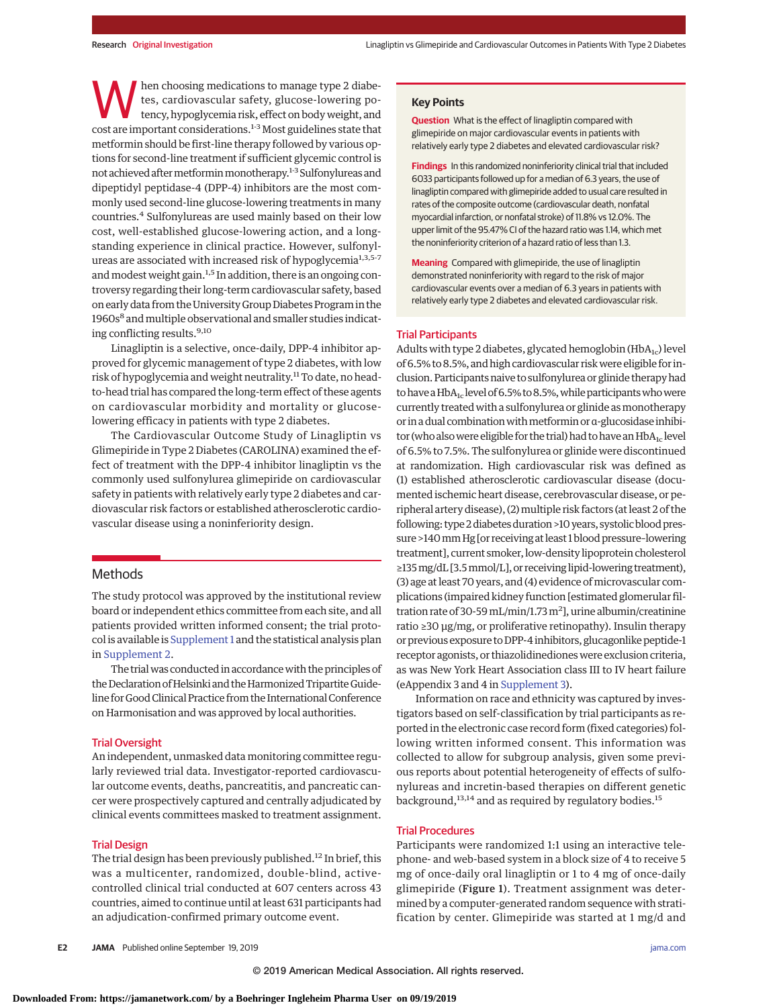When choosing medications to manage type 2 diabe-<br>tency, hypoglycemia risk, effect on body weight, and<br>cost are important considerations  $1:3$  Most quidelines state that tes, cardiovascular safety, glucose-lowering pocost are important considerations.1-3Most guidelines state that metformin should be first-line therapy followed by various options for second-line treatment if sufficient glycemic control is not achieved after metformin monotherapy. $^{1-3}$  Sulfonylureas and dipeptidyl peptidase-4 (DPP-4) inhibitors are the most commonly used second-line glucose-lowering treatments in many countries.4 Sulfonylureas are used mainly based on their low cost, well-established glucose-lowering action, and a longstanding experience in clinical practice. However, sulfonylureas are associated with increased risk of hypoglycemia<sup>1,3,5-7</sup> and modest weight gain.<sup>1,5</sup> In addition, there is an ongoing controversy regarding their long-term cardiovascular safety, based on early data from the University Group Diabetes Program in the 1960s<sup>8</sup> and multiple observational and smaller studies indicating conflicting results.<sup>9,10</sup>

Linagliptin is a selective, once-daily, DPP-4 inhibitor approved for glycemic management of type 2 diabetes, with low risk of hypoglycemia and weight neutrality.<sup>11</sup> To date, no headto-head trial has compared the long-term effect of these agents on cardiovascular morbidity and mortality or glucoselowering efficacy in patients with type 2 diabetes.

The Cardiovascular Outcome Study of Linagliptin vs Glimepiride in Type 2 Diabetes (CAROLINA) examined the effect of treatment with the DPP-4 inhibitor linagliptin vs the commonly used sulfonylurea glimepiride on cardiovascular safety in patients with relatively early type 2 diabetes and cardiovascular risk factors or established atherosclerotic cardiovascular disease using a noninferiority design.

# Methods

The study protocol was approved by the institutional review board or independent ethics committee from each site, and all patients provided written informed consent; the trial protocol is available is [Supplement 1](https://jama.jamanetwork.com/article.aspx?doi=10.1001/jama.2019.13772&utm_campaign=articlePDF%26utm_medium=articlePDFlink%26utm_source=articlePDF%26utm_content=jama.2019.13772) and the statistical analysis plan in [Supplement 2.](https://jama.jamanetwork.com/article.aspx?doi=10.1001/jama.2019.13772&utm_campaign=articlePDF%26utm_medium=articlePDFlink%26utm_source=articlePDF%26utm_content=jama.2019.13772)

The trial was conducted in accordance with the principles of the Declaration of Helsinki and the Harmonized Tripartite Guideline for Good Clinical Practice from the International Conference on Harmonisation and was approved by local authorities.

# Trial Oversight

An independent, unmasked data monitoring committee regularly reviewed trial data. Investigator-reported cardiovascular outcome events, deaths, pancreatitis, and pancreatic cancer were prospectively captured and centrally adjudicated by clinical events committees masked to treatment assignment.

# Trial Design

The trial design has been previously published.<sup>12</sup> In brief, this was a multicenter, randomized, double-blind, activecontrolled clinical trial conducted at 607 centers across 43 countries, aimed to continue until at least 631 participants had an adjudication-confirmed primary outcome event.

# **Key Points**

**Question** What is the effect of linagliptin compared with glimepiride on major cardiovascular events in patients with relatively early type 2 diabetes and elevated cardiovascular risk?

**Findings** In this randomized noninferiority clinical trial that included 6033 participants followed up for a median of 6.3 years, the use of linagliptin compared with glimepiride added to usual care resulted in rates of the composite outcome (cardiovascular death, nonfatal myocardial infarction, or nonfatal stroke) of 11.8% vs 12.0%. The upper limit of the 95.47% CI of the hazard ratio was 1.14, which met the noninferiority criterion of a hazard ratio of less than 1.3.

**Meaning** Compared with glimepiride, the use of linagliptin demonstrated noninferiority with regard to the risk of major cardiovascular events over a median of 6.3 years in patients with relatively early type 2 diabetes and elevated cardiovascular risk.

### Trial Participants

Adults with type 2 diabetes, glycated hemoglobin ( $HbA_{1c}$ ) level of 6.5% to 8.5%, and high cardiovascular riskwere eligible for inclusion. Participants naive to sulfonylurea or glinide therapy had to have a  $HbA_{1c}$  level of 6.5% to 8.5%, while participants who were currently treated with a sulfonylurea or glinide as monotherapy or in adual combinationwithmetformin or α-glucosidase inhibitor (who also were eligible for the trial) had to have an  $HbA_{1c}$  level of 6.5% to 7.5%. The sulfonylurea or glinide were discontinued at randomization. High cardiovascular risk was defined as (1) established atherosclerotic cardiovascular disease (documented ischemic heart disease, cerebrovascular disease, or peripheral artery disease), (2) multiple risk factors (at least 2 of the following: type 2 diabetes duration >10 years, systolic blood pressure >140mmHg [or receiving at least 1 blood pressure–lowering treatment], current smoker, low-density lipoprotein cholesterol ≥135mg/dL [3.5mmol/L], or receiving lipid-lowering treatment), (3) age at least 70 years, and (4) evidence of microvascular complications (impaired kidney function [estimated glomerular filtration rate of 30-59 mL/min/1.73 m<sup>2</sup>], urine albumin/creatinine ratio ≥30 μg/mg, or proliferative retinopathy). Insulin therapy or previous exposure to DPP-4 inhibitors, glucagonlike peptide-1 receptor agonists, or thiazolidinediones were exclusion criteria, as was New York Heart Association class III to IV heart failure (eAppendix 3 and 4 in [Supplement 3\)](https://jama.jamanetwork.com/article.aspx?doi=10.1001/jama.2019.13772&utm_campaign=articlePDF%26utm_medium=articlePDFlink%26utm_source=articlePDF%26utm_content=jama.2019.13772).

Information on race and ethnicity was captured by investigators based on self-classification by trial participants as reported in the electronic case record form (fixed categories) following written informed consent. This information was collected to allow for subgroup analysis, given some previous reports about potential heterogeneity of effects of sulfonylureas and incretin-based therapies on different genetic background,<sup>13,14</sup> and as required by regulatory bodies.<sup>15</sup>

### Trial Procedures

Participants were randomized 1:1 using an interactive telephone- and web-based system in a block size of 4 to receive 5 mg of once-daily oral linagliptin or 1 to 4 mg of once-daily glimepiride (Figure 1). Treatment assignment was determined by a computer-generated random sequence with stratification by center. Glimepiride was started at 1 mg/d and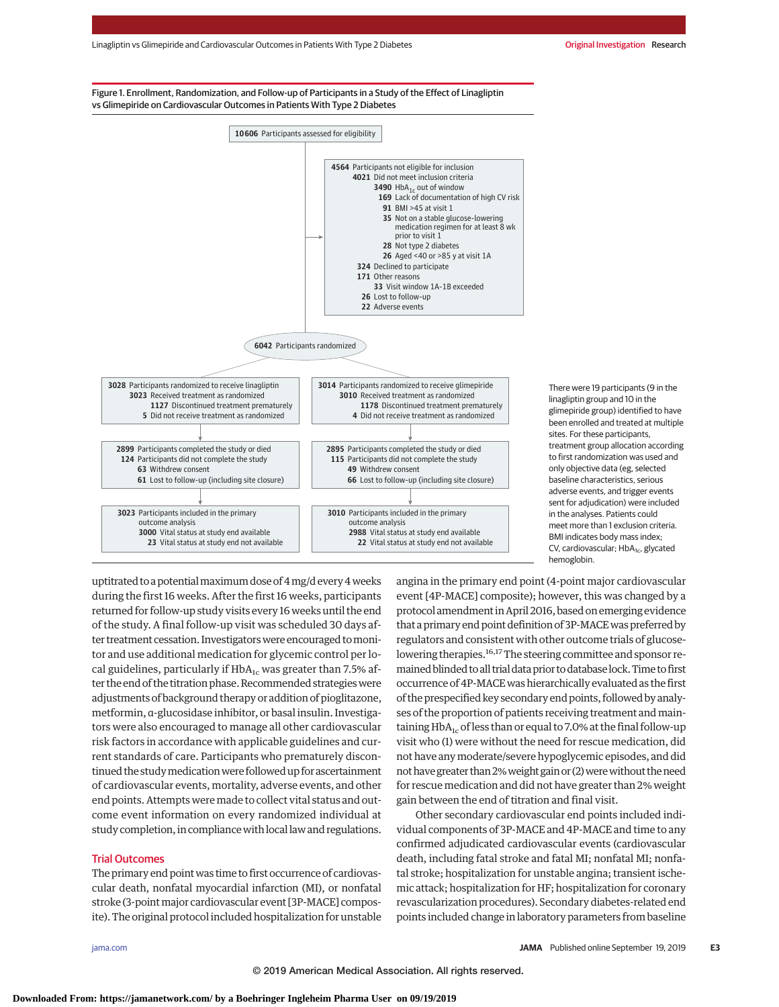Figure 1. Enrollment, Randomization, and Follow-up of Participants in a Study of the Effect of Linagliptin vs Glimepiride on Cardiovascular Outcomes in Patients With Type 2 Diabetes



There were 19 participants (9 in the linagliptin group and 10 in the glimepiride group) identified to have been enrolled and treated at multiple sites. For these participants, treatment group allocation according to first randomization was used and only objective data (eg, selected baseline characteristics, serious adverse events, and trigger events sent for adjudication) were included in the analyses. Patients could meet more than 1 exclusion criteria. BMI indicates body mass index; CV, cardiovascular; HbA<sub>1c</sub>, glycated hemoglobin.

uptitrated to a potentialmaximum dose of 4mg/d every 4weeks during the first 16 weeks. After the first 16 weeks, participants returned for follow-up study visits every 16 weeks until the end of the study. A final follow-up visit was scheduled 30 days after treatment cessation. Investigatorswere encouraged tomonitor and use additional medication for glycemic control per local guidelines, particularly if  $HbA_{1c}$  was greater than 7.5% after the end of the titration phase. Recommended strategies were adjustments of background therapy or addition of pioglitazone, metformin, α-glucosidase inhibitor, or basal insulin. Investigators were also encouraged to manage all other cardiovascular risk factors in accordance with applicable guidelines and current standards of care. Participants who prematurely discontinued the study medication were followed up for ascertainment of cardiovascular events, mortality, adverse events, and other end points. Attempts weremade to collect vital status and outcome event information on every randomized individual at study completion, in compliancewith local law and regulations.

# Trial Outcomes

The primary end point was time to first occurrence of cardiovascular death, nonfatal myocardial infarction (MI), or nonfatal stroke (3-point major cardiovascular event [3P-MACE] composite). The original protocol included hospitalization for unstable angina in the primary end point (4-point major cardiovascular event [4P-MACE] composite); however, this was changed by a protocol amendment in April 2016, based on emerging evidence that a primary end point definition of 3P-MACE was preferred by regulators and consistent with other outcome trials of glucoselowering therapies.<sup>16,17</sup>The steering committee and sponsor remained blinded to all trial data prior to database lock. Time to first occurrence of 4P-MACEwas hierarchically evaluated as the first of the prespecified key secondary end points, followed by analyses of the proportion of patients receiving treatment and maintaining  $HbA_{1c}$  of less than or equal to 7.0% at the final follow-up visit who (1) were without the need for rescue medication, did not have anymoderate/severe hypoglycemic episodes, and did not have greater than 2% weight gain or (2) were without the need for rescue medication and did not have greater than 2% weight gain between the end of titration and final visit.

Other secondary cardiovascular end points included individual components of 3P-MACE and 4P-MACE and time to any confirmed adjudicated cardiovascular events (cardiovascular death, including fatal stroke and fatal MI; nonfatal MI; nonfatal stroke; hospitalization for unstable angina; transient ischemic attack; hospitalization for HF; hospitalization for coronary revascularization procedures). Secondary diabetes-related end points included change in laboratory parameters from baseline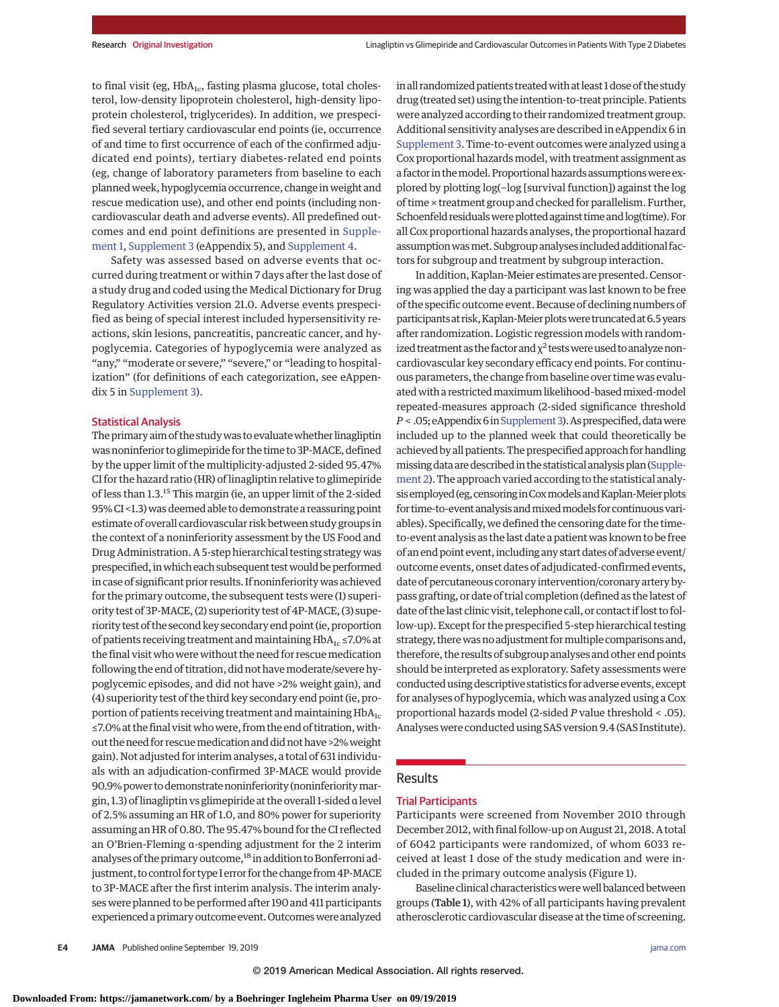to final visit (eg,  $HbA_{1c}$ , fasting plasma glucose, total cholesterol, low-density lipoprotein cholesterol, high-density lipoprotein cholesterol, triglycerides). In addition, we prespecified several tertiary cardiovascular end points (ie, occurrence of and time to first occurrence of each of the confirmed adjudicated end points), tertiary diabetes-related end points (eg, change of laboratory parameters from baseline to each planned week, hypoglycemia occurrence, change in weight and rescue medication use), and other end points (including noncardiovascular death and adverse events). All predefined outcomes and end point definitions are presented in [Supple](https://jama.jamanetwork.com/article.aspx?doi=10.1001/jama.2019.13772&utm_campaign=articlePDF%26utm_medium=articlePDFlink%26utm_source=articlePDF%26utm_content=jama.2019.13772)[ment 1,](https://jama.jamanetwork.com/article.aspx?doi=10.1001/jama.2019.13772&utm_campaign=articlePDF%26utm_medium=articlePDFlink%26utm_source=articlePDF%26utm_content=jama.2019.13772) [Supplement 3](https://jama.jamanetwork.com/article.aspx?doi=10.1001/jama.2019.13772&utm_campaign=articlePDF%26utm_medium=articlePDFlink%26utm_source=articlePDF%26utm_content=jama.2019.13772) (eAppendix 5), and [Supplement 4.](https://jama.jamanetwork.com/article.aspx?doi=10.1001/jama.2019.13772&utm_campaign=articlePDF%26utm_medium=articlePDFlink%26utm_source=articlePDF%26utm_content=jama.2019.13772)

Safety was assessed based on adverse events that occurred during treatment or within 7 days after the last dose of a study drug and coded using the Medical Dictionary for Drug Regulatory Activities version 21.0. Adverse events prespecified as being of special interest included hypersensitivity reactions, skin lesions, pancreatitis, pancreatic cancer, and hypoglycemia. Categories of hypoglycemia were analyzed as "any," "moderate or severe," "severe," or "leading to hospitalization" (for definitions of each categorization, see eAppendix 5 in [Supplement 3\)](https://jama.jamanetwork.com/article.aspx?doi=10.1001/jama.2019.13772&utm_campaign=articlePDF%26utm_medium=articlePDFlink%26utm_source=articlePDF%26utm_content=jama.2019.13772).

### Statistical Analysis

The primary aim of the study was to evaluate whether linagliptin was noninferior to glimepiride for the time to 3P-MACE, defined by the upper limit of the multiplicity-adjusted 2-sided 95.47% CI for the hazard ratio (HR) of linagliptin relative to glimepiride of less than 1.3.15 This margin (ie, an upper limit of the 2-sided 95% CI <1.3)was deemed able to demonstrate a reassuring point estimate of overall cardiovascular risk between study groups in the context of a noninferiority assessment by the US Food and Drug Administration. A 5-step hierarchical testing strategy was prespecified, inwhich each subsequent testwould be performed in case of significant prior results. If noninferiority was achieved for the primary outcome, the subsequent tests were (1) superiority test of 3P-MACE, (2) superiority test of 4P-MACE, (3) superiority test of the second key secondary end point (ie, proportion of patients receiving treatment and maintaining  $HbA_{1c} \le 7.0\%$  at the final visit who were without the need for rescue medication following the end of titration, did not have moderate/severe hypoglycemic episodes, and did not have >2% weight gain), and (4) superiority test of the third key secondary end point (ie, proportion of patients receiving treatment and maintaining  $HbA<sub>1c</sub>$ ≤7.0% at the final visit who were, from the end of titration, without the need for rescue medication and did not have >2% weight gain). Not adjusted for interim analyses, a total of 631 individuals with an adjudication-confirmed 3P-MACE would provide 90.9% power to demonstrate noninferiority (noninferiority margin, 1.3) of linagliptin vs glimepiride at the overall 1-sided α level of 2.5% assuming an HR of 1.0, and 80% power for superiority assuming an HR of 0.80. The 95.47% bound for the CI reflected an O'Brien-Fleming α-spending adjustment for the 2 interim analyses of the primary outcome,<sup>18</sup> in addition to Bonferroni adjustment, to control for type I error for the change from 4P-MACE to 3P-MACE after the first interim analysis. The interim analyses were planned to be performed after 190 and 411 participants experienced a primary outcome event. Outcomes were analyzed

in all randomized patients treated with at least 1 dose of the study drug (treated set) using the intention-to-treat principle. Patients were analyzed according to their randomized treatment group. Additional sensitivity analyses are described in eAppendix 6 in [Supplement 3.](https://jama.jamanetwork.com/article.aspx?doi=10.1001/jama.2019.13772&utm_campaign=articlePDF%26utm_medium=articlePDFlink%26utm_source=articlePDF%26utm_content=jama.2019.13772) Time-to-event outcomes were analyzed using a Cox proportional hazards model, with treatment assignment as a factor in the model. Proportional hazards assumptions were explored by plotting log(−log [survival function]) against the log of time × treatment group and checked for parallelism. Further, Schoenfeld residuals were plotted against time and log(time). For all Cox proportional hazards analyses, the proportional hazard assumption was met. Subgroup analyses included additional factors for subgroup and treatment by subgroup interaction.

In addition, Kaplan-Meier estimates are presented. Censoring was applied the day a participant was last known to be free of the specific outcome event. Because of declining numbers of participants at risk, Kaplan-Meier plots were truncated at 6.5 years after randomization. Logistic regression models with randomized treatment as the factor and  $\chi^2$  tests were used to analyze noncardiovascular key secondary efficacy end points. For continuous parameters, the change from baseline over time was evaluated with a restricted maximum likelihood-based mixed-model repeated-measures approach (2-sided significance threshold *P* < .05; eAppendix 6 in [Supplement 3\)](https://jama.jamanetwork.com/article.aspx?doi=10.1001/jama.2019.13772&utm_campaign=articlePDF%26utm_medium=articlePDFlink%26utm_source=articlePDF%26utm_content=jama.2019.13772). As prespecified, data were included up to the planned week that could theoretically be achieved by all patients. The prespecified approach for handling missingdata aredescribed in the statistical analysisplan [\(Supple](https://jama.jamanetwork.com/article.aspx?doi=10.1001/jama.2019.13772&utm_campaign=articlePDF%26utm_medium=articlePDFlink%26utm_source=articlePDF%26utm_content=jama.2019.13772)[ment 2\)](https://jama.jamanetwork.com/article.aspx?doi=10.1001/jama.2019.13772&utm_campaign=articlePDF%26utm_medium=articlePDFlink%26utm_source=articlePDF%26utm_content=jama.2019.13772). The approach varied according to the statistical analysis employed (eg, censoring in Cox models and Kaplan-Meier plots for time-to-event analysis and mixed models for continuous variables). Specifically, we defined the censoring date for the timeto-event analysis as the last date a patient was known to be free of an end point event, including any start dates of adverse event/ outcome events, onset dates of adjudicated-confirmed events, date of percutaneous coronary intervention/coronary artery bypass grafting, or date of trial completion (defined as the latest of date of the last clinic visit, telephone call, or contact if lost to follow-up). Except for the prespecified 5-step hierarchical testing strategy, there was no adjustment for multiple comparisons and, therefore, the results of subgroup analyses and other end points should be interpreted as exploratory. Safety assessments were conducted using descriptive statistics for adverse events, except for analyses of hypoglycemia, which was analyzed using a Cox proportional hazards model (2-sided *P* value threshold < .05). Analyses were conducted using SAS version 9.4 (SAS Institute).

# Results

# Trial Participants

Participants were screened from November 2010 through December 2012, with final follow-up on August 21, 2018. A total of 6042 participants were randomized, of whom 6033 received at least 1 dose of the study medication and were included in the primary outcome analysis (Figure 1).

Baseline clinical characteristicswerewell balanced between groups (Table 1), with 42% of all participants having prevalent atherosclerotic cardiovascular disease at the time of screening.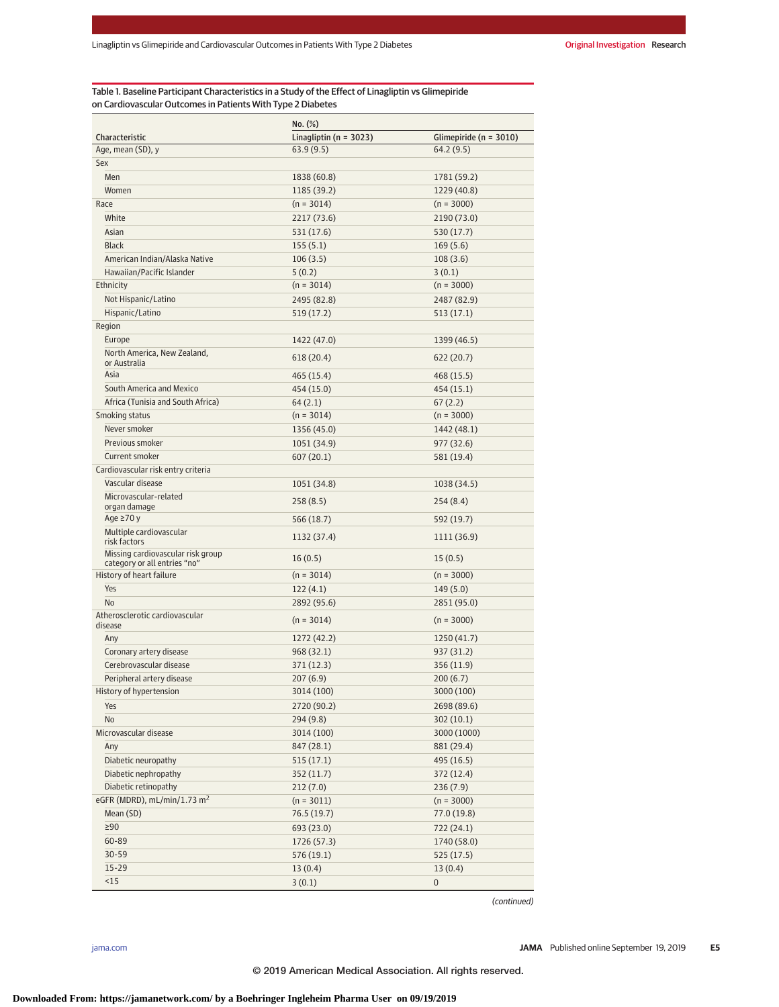# Table 1. Baseline Participant Characteristics in a Study of the Effect of Linagliptin vs Glimepiride on Cardiovascular Outcomes in Patients With Type 2 Diabetes

|                                                                   | No. (%)                    |                        |  |  |  |  |
|-------------------------------------------------------------------|----------------------------|------------------------|--|--|--|--|
| Characteristic                                                    | Linagliptin ( $n = 3023$ ) | Glimepiride (n = 3010) |  |  |  |  |
| Age, mean (SD), y                                                 | 63.9(9.5)                  | 64.2(9.5)              |  |  |  |  |
| Sex                                                               |                            |                        |  |  |  |  |
| Men                                                               | 1838 (60.8)                | 1781 (59.2)            |  |  |  |  |
| Women                                                             | 1185 (39.2)                | 1229 (40.8)            |  |  |  |  |
| Race                                                              | $(n = 3014)$               | $(n = 3000)$           |  |  |  |  |
| White                                                             | 2217 (73.6)                | 2190 (73.0)            |  |  |  |  |
| Asian                                                             | 531 (17.6)                 | 530 (17.7)             |  |  |  |  |
| <b>Black</b>                                                      | 155(5.1)                   | 169(5.6)               |  |  |  |  |
| American Indian/Alaska Native                                     | 106(3.5)                   | 108(3.6)               |  |  |  |  |
| Hawaiian/Pacific Islander                                         | 5(0.2)                     | 3(0.1)                 |  |  |  |  |
| Ethnicity                                                         | $(n = 3014)$               | $(n = 3000)$           |  |  |  |  |
| Not Hispanic/Latino                                               | 2495 (82.8)                | 2487 (82.9)            |  |  |  |  |
| Hispanic/Latino                                                   | 519 (17.2)                 | 513 (17.1)             |  |  |  |  |
| Region                                                            |                            |                        |  |  |  |  |
| Europe                                                            | 1422 (47.0)                | 1399 (46.5)            |  |  |  |  |
| North America, New Zealand,<br>or Australia                       | 618 (20.4)                 | 622 (20.7)             |  |  |  |  |
| Asia                                                              | 465 (15.4)                 | 468 (15.5)             |  |  |  |  |
| South America and Mexico                                          | 454 (15.0)                 | 454 (15.1)             |  |  |  |  |
| Africa (Tunisia and South Africa)                                 | 64(2.1)                    | 67(2.2)                |  |  |  |  |
| Smoking status                                                    | $(n = 3014)$               | $(n = 3000)$           |  |  |  |  |
| Never smoker                                                      | 1356 (45.0)                | 1442 (48.1)            |  |  |  |  |
| Previous smoker                                                   | 1051 (34.9)                | 977 (32.6)             |  |  |  |  |
| Current smoker                                                    | 607(20.1)                  | 581 (19.4)             |  |  |  |  |
| Cardiovascular risk entry criteria                                |                            |                        |  |  |  |  |
| Vascular disease                                                  | 1051 (34.8)                | 1038 (34.5)            |  |  |  |  |
| Microvascular-related<br>organ damage                             | 258(8.5)                   | 254 (8.4)              |  |  |  |  |
| Age $\geq 70$ y                                                   | 566 (18.7)                 | 592 (19.7)             |  |  |  |  |
| Multiple cardiovascular<br>risk factors                           | 1132 (37.4)                | 1111 (36.9)            |  |  |  |  |
| Missing cardiovascular risk group<br>category or all entries "no" | 16(0.5)                    | 15(0.5)                |  |  |  |  |
| History of heart failure                                          | $(n = 3014)$               | $(n = 3000)$           |  |  |  |  |
| Yes                                                               | 122(4.1)                   | 149(5.0)               |  |  |  |  |
| <b>No</b>                                                         | 2892 (95.6)                | 2851 (95.0)            |  |  |  |  |
| Atherosclerotic cardiovascular<br>disease                         | $(n = 3014)$               | $(n = 3000)$           |  |  |  |  |
| Any                                                               | 1272 (42.2)                | 1250 (41.7)            |  |  |  |  |
| Coronary artery disease                                           | 968 (32.1)                 | 937 (31.2)             |  |  |  |  |
| Cerebrovascular disease                                           | 371 (12.3)                 | 356 (11.9)             |  |  |  |  |
| Peripheral artery disease                                         | 207(6.9)                   | 200(6.7)               |  |  |  |  |
| History of hypertension                                           | 3014 (100)                 | 3000 (100)             |  |  |  |  |
| Yes                                                               | 2720 (90.2)                | 2698 (89.6)            |  |  |  |  |
| No                                                                | 294(9.8)                   | 302(10.1)              |  |  |  |  |
| Microvascular disease                                             | 3014 (100)                 | 3000 (1000)            |  |  |  |  |
| Any                                                               | 847 (28.1)                 | 881 (29.4)             |  |  |  |  |
| Diabetic neuropathy                                               | 515(17.1)                  | 495 (16.5)             |  |  |  |  |
| Diabetic nephropathy                                              | 352(11.7)                  | 372 (12.4)             |  |  |  |  |
| Diabetic retinopathy                                              | 212(7.0)                   | 236(7.9)               |  |  |  |  |
| eGFR (MDRD), mL/min/1.73 m <sup>2</sup>                           | $(n = 3011)$               | $(n = 3000)$           |  |  |  |  |
| Mean (SD)                                                         | 76.5 (19.7)                | 77.0 (19.8)            |  |  |  |  |
| $\geq 90$                                                         | 693 (23.0)                 | 722 (24.1)             |  |  |  |  |
| 60-89                                                             | 1726(57.3)                 | 1740 (58.0)            |  |  |  |  |
| $30 - 59$                                                         | 576 (19.1)                 | 525 (17.5)             |  |  |  |  |
| $15 - 29$                                                         | 13(0.4)                    | 13(0.4)                |  |  |  |  |
| <15                                                               | 3(0.1)                     | 0                      |  |  |  |  |

(continued)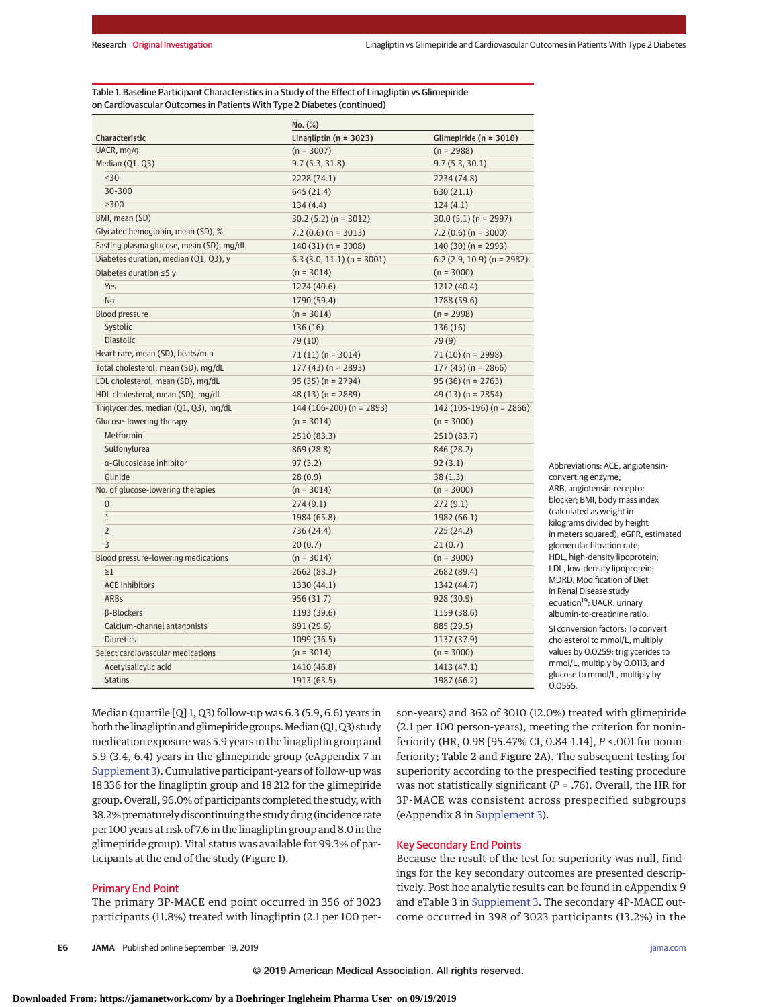### Table 1. Baseline Participant Characteristics in a Study of the Effect of Linagliptin vs Glimepiride on Cardiovascular Outcomes in Patients With Type 2 Diabetes (continued)

|                                          | $No. (\%)$                   |                              |  |
|------------------------------------------|------------------------------|------------------------------|--|
| Characteristic                           | Linagliptin ( $n = 3023$ )   | Glimepiride ( $n = 3010$ )   |  |
| UACR, mg/g                               | $(n = 3007)$                 | $(n = 2988)$                 |  |
| Median $(Q1, Q3)$                        | 9.7(5.3, 31.8)               | 9.7(5.3, 30.1)               |  |
| $30$                                     | 2228 (74.1)                  | 2234 (74.8)                  |  |
| 30-300                                   | 645 (21.4)                   | 630(21.1)                    |  |
| >300                                     | 134 (4.4)                    | 124(4.1)                     |  |
| BMI, mean (SD)                           | $30.2(5.2)(n = 3012)$        | $30.0(5.1)(n = 2997)$        |  |
| Glycated hemoglobin, mean (SD), %        | $7.2(0.6)(n = 3013)$         | $7.2(0.6)(n = 3000)$         |  |
| Fasting plasma glucose, mean (SD), mg/dL | $140(31)(n = 3008)$          | $140(30)(n = 2993)$          |  |
| Diabetes duration, median (Q1, Q3), y    | $6.3$ (3.0, 11.1) (n = 3001) | $6.2$ (2.9, 10.9) (n = 2982) |  |
| Diabetes duration $\leq$ 5 y             | $(n = 3014)$                 | $(n = 3000)$                 |  |
| Yes                                      | 1224 (40.6)                  | 1212 (40.4)                  |  |
| N <sub>o</sub>                           | 1790 (59.4)                  | 1788 (59.6)                  |  |
| <b>Blood pressure</b>                    | $(n = 3014)$                 | $(n = 2998)$                 |  |
| Systolic                                 | 136 (16)                     | 136 (16)                     |  |
| <b>Diastolic</b>                         | 79 (10)                      | 79(9)                        |  |
| Heart rate, mean (SD), beats/min         | $71(11)(n = 3014)$           | $71(10)(n = 2998)$           |  |
| Total cholesterol, mean (SD), mg/dL      | $177(43)(n = 2893)$          | $177(45)(n = 2866)$          |  |
| LDL cholesterol, mean (SD), mg/dL        | $95(35)(n = 2794)$           | $95(36)(n = 2763)$           |  |
| HDL cholesterol, mean (SD), mg/dL        | $48(13)(n = 2889)$           | $49(13)(n = 2854)$           |  |
| Triglycerides, median (Q1, Q3), mg/dL    | 144 (106-200) (n = 2893)     | 142 (105-196) (n = 2866)     |  |
| Glucose-lowering therapy                 | $(n = 3014)$                 | $(n = 3000)$                 |  |
| Metformin                                | 2510 (83.3)                  | 2510 (83.7)                  |  |
| Sulfonylurea                             | 869 (28.8)                   | 846 (28.2)                   |  |
| a-Glucosidase inhibitor                  | 97 (3.2)                     | 92(3.1)                      |  |
| Glinide                                  | 28(0.9)                      | 38(1.3)                      |  |
| No. of glucose-lowering therapies        | $(n = 3014)$                 | $(n = 3000)$                 |  |
| $\bf{0}$                                 | 274 (9.1)                    | 272(9.1)                     |  |
| $\mathbf{1}$                             | 1984 (65.8)                  | 1982 (66.1)                  |  |
| $\overline{2}$                           | 736 (24.4)                   | 725 (24.2)                   |  |
| 3                                        | 20(0.7)                      | 21(0.7)                      |  |
| Blood pressure-lowering medications      | $(n = 3014)$                 | $(n = 3000)$                 |  |
| $\geq$ 1                                 | 2662 (88.3)                  | 2682 (89.4)                  |  |
| <b>ACE inhibitors</b>                    | 1330 (44.1)                  | 1342 (44.7)                  |  |
| <b>ARBs</b>                              | 956 (31.7)                   | 928 (30.9)                   |  |
| <b>B-Blockers</b>                        | 1193 (39.6)                  | 1159 (38.6)                  |  |
| Calcium-channel antagonists              | 891 (29.6)                   | 885 (29.5)                   |  |
| <b>Diuretics</b>                         | 1099 (36.5)                  | 1137 (37.9)                  |  |
| Select cardiovascular medications        | $(n = 3014)$                 | $(n = 3000)$                 |  |
| Acetylsalicylic acid                     | 1410 (46.8)                  | 1413 (47.1)                  |  |
| <b>Statins</b>                           | 1913 (63.5)                  | 1987 (66.2)                  |  |

Abbreviations: ACE, angiotensinconverting enzyme; ARB, angiotensin-receptor blocker; BMI, body mass index (calculated as weight in kilograms divided by height in meters squared); eGFR, estimated glomerular filtration rate; HDL, high-density lipoprotein; LDL, low-density lipoprotein; MDRD, Modification of Diet in Renal Disease study equation<sup>19</sup>: UACR, urinary albumin-to-creatinine ratio. SI conversion factors: To convert cholesterol to mmol/L, multiply values by 0.0259; triglycerides to mmol/L, multiply by 0.0113; and glucose to mmol/L, multiply by 0.0555.

Median (quartile [Q] 1, Q3) follow-up was 6.3 (5.9, 6.6) years in both the linagliptin and glimepiride groups. Median (Q1, Q3) study medication exposure was 5.9 years in the linagliptin group and 5.9 (3.4, 6.4) years in the glimepiride group (eAppendix 7 in [Supplement 3\)](https://jama.jamanetwork.com/article.aspx?doi=10.1001/jama.2019.13772&utm_campaign=articlePDF%26utm_medium=articlePDFlink%26utm_source=articlePDF%26utm_content=jama.2019.13772). Cumulative participant-years of follow-up was 18 336 for the linagliptin group and 18 212 for the glimepiride group. Overall, 96.0% of participants completed the study,with 38.2% prematurely discontinuing the study drug (incidence rate per 100 years at risk of 7.6 in the linagliptin group and 8.0 in the glimepiride group). Vital status was available for 99.3% of participants at the end of the study (Figure 1).

# Primary End Point

The primary 3P-MACE end point occurred in 356 of 3023 participants (11.8%) treated with linagliptin (2.1 per 100 person-years) and 362 of 3010 (12.0%) treated with glimepiride (2.1 per 100 person-years), meeting the criterion for noninferiority (HR, 0.98 [95.47% CI, 0.84-1.14], *P* <.001 for noninferiority; Table 2 and Figure 2A). The subsequent testing for superiority according to the prespecified testing procedure was not statistically significant (*P* = .76). Overall, the HR for 3P-MACE was consistent across prespecified subgroups (eAppendix 8 in [Supplement 3\)](https://jama.jamanetwork.com/article.aspx?doi=10.1001/jama.2019.13772&utm_campaign=articlePDF%26utm_medium=articlePDFlink%26utm_source=articlePDF%26utm_content=jama.2019.13772).

# Key Secondary End Points

Because the result of the test for superiority was null, findings for the key secondary outcomes are presented descriptively. Post hoc analytic results can be found in eAppendix 9 and eTable 3 in [Supplement 3.](https://jama.jamanetwork.com/article.aspx?doi=10.1001/jama.2019.13772&utm_campaign=articlePDF%26utm_medium=articlePDFlink%26utm_source=articlePDF%26utm_content=jama.2019.13772) The secondary 4P-MACE outcome occurred in 398 of 3023 participants (13.2%) in the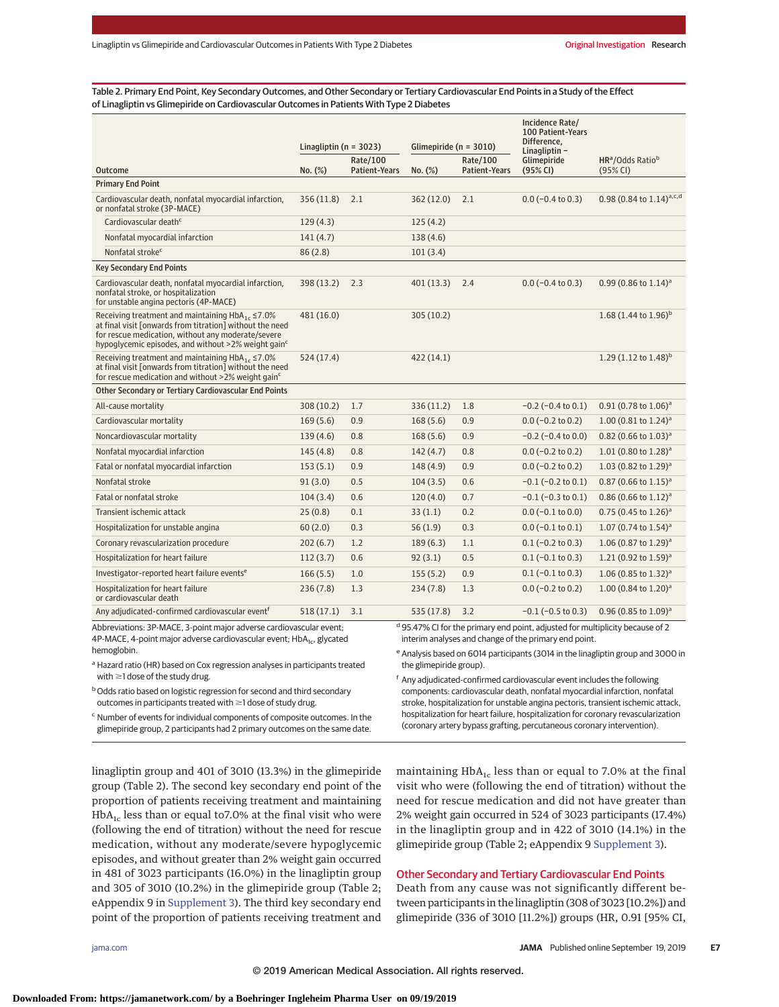Table 2. Primary End Point, Key Secondary Outcomes, and Other Secondary or Tertiary Cardiovascular End Points in a Study of the Effect of Linagliptin vs Glimepiride on Cardiovascular Outcomes in Patients With Type 2 Diabetes

|                                                                                                                                                                                                                                               | Linagliptin ( $n = 3023$ ) |                      | Glimepiride (n = 3010)                                                                                                                                                                                       |                      | Incidence Rate/<br>100 Patient-Years<br>Difference, |                                          |
|-----------------------------------------------------------------------------------------------------------------------------------------------------------------------------------------------------------------------------------------------|----------------------------|----------------------|--------------------------------------------------------------------------------------------------------------------------------------------------------------------------------------------------------------|----------------------|-----------------------------------------------------|------------------------------------------|
|                                                                                                                                                                                                                                               |                            | Rate/100             |                                                                                                                                                                                                              | Rate/100             | Linagliptin $-$<br>Glimepiride                      | HR <sup>a</sup> /Odds Ratio <sup>b</sup> |
| <b>Outcome</b>                                                                                                                                                                                                                                | No. (%)                    | <b>Patient-Years</b> | No. (%)                                                                                                                                                                                                      | <b>Patient-Years</b> | (95% CI)                                            | (95% CI)                                 |
| <b>Primary End Point</b>                                                                                                                                                                                                                      |                            |                      |                                                                                                                                                                                                              |                      |                                                     |                                          |
| Cardiovascular death, nonfatal myocardial infarction,<br>or nonfatal stroke (3P-MACE)                                                                                                                                                         | 356 (11.8)                 | 2.1                  | 362 (12.0)                                                                                                                                                                                                   | 2.1                  | $0.0$ (-0.4 to 0.3)                                 | 0.98 (0.84 to $1.14$ ) <sup>a,c,d</sup>  |
| Cardiovascular death <sup>c</sup>                                                                                                                                                                                                             | 129(4.3)                   |                      | 125(4.2)                                                                                                                                                                                                     |                      |                                                     |                                          |
| Nonfatal myocardial infarction                                                                                                                                                                                                                | 141(4.7)                   |                      | 138 (4.6)                                                                                                                                                                                                    |                      |                                                     |                                          |
| Nonfatal stroke <sup>c</sup>                                                                                                                                                                                                                  | 86(2.8)                    |                      | 101(3.4)                                                                                                                                                                                                     |                      |                                                     |                                          |
| <b>Key Secondary End Points</b>                                                                                                                                                                                                               |                            |                      |                                                                                                                                                                                                              |                      |                                                     |                                          |
| Cardiovascular death, nonfatal myocardial infarction,<br>nonfatal stroke, or hospitalization<br>for unstable angina pectoris (4P-MACE)                                                                                                        | 398 (13.2)                 | 2.3                  | 401(13.3)                                                                                                                                                                                                    | 2.4                  | $0.0$ (-0.4 to 0.3)                                 | 0.99 (0.86 to $1.14$ ) <sup>a</sup>      |
| Receiving treatment and maintaining $HbA_{1c} \le 7.0\%$<br>at final visit [onwards from titration] without the need<br>for rescue medication, without any moderate/severe<br>hypoglycemic episodes, and without >2% weight gain <sup>c</sup> | 481 (16.0)                 |                      | 305 (10.2)                                                                                                                                                                                                   |                      |                                                     | 1.68 $(1.44 \text{ to } 1.96)^b$         |
| Receiving treatment and maintaining $HbA_{1c} \leq 7.0\%$<br>at final visit [onwards from titration] without the need<br>for rescue medication and without >2% weight gain <sup>c</sup>                                                       | 524 (17.4)                 |                      | 422(14.1)                                                                                                                                                                                                    |                      |                                                     | 1.29 $(1.12 \text{ to } 1.48)^b$         |
| Other Secondary or Tertiary Cardiovascular End Points                                                                                                                                                                                         |                            |                      |                                                                                                                                                                                                              |                      |                                                     |                                          |
| All-cause mortality                                                                                                                                                                                                                           | 308 (10.2)                 | 1.7                  | 336 (11.2)                                                                                                                                                                                                   | 1.8                  | $-0.2$ ( $-0.4$ to $0.1$ )                          | $0.91$ (0.78 to $1.06$ ) <sup>a</sup>    |
| Cardiovascular mortality                                                                                                                                                                                                                      | 169(5.6)                   | 0.9                  | 168(5.6)                                                                                                                                                                                                     | 0.9                  | $0.0$ (-0.2 to 0.2)                                 | 1.00 (0.81 to 1.24) <sup>a</sup>         |
| Noncardiovascular mortality                                                                                                                                                                                                                   | 139(4.6)                   | 0.8                  | 168(5.6)                                                                                                                                                                                                     | 0.9                  | $-0.2$ ( $-0.4$ to $0.0$ )                          | $0.82$ (0.66 to 1.03) <sup>a</sup>       |
| Nonfatal myocardial infarction                                                                                                                                                                                                                | 145(4.8)                   | 0.8                  | 142(4.7)                                                                                                                                                                                                     | 0.8                  | $0.0$ (-0.2 to 0.2)                                 | 1.01 (0.80 to 1.28) <sup>a</sup>         |
| Fatal or nonfatal myocardial infarction                                                                                                                                                                                                       | 153(5.1)                   | 0.9                  | 148(4.9)                                                                                                                                                                                                     | 0.9                  | $0.0$ (-0.2 to 0.2)                                 | 1.03 (0.82 to 1.29) <sup>a</sup>         |
| Nonfatal stroke                                                                                                                                                                                                                               | 91(3.0)                    | 0.5                  | 104(3.5)                                                                                                                                                                                                     | 0.6                  | $-0.1$ ( $-0.2$ to $0.1$ )                          | $0.87$ (0.66 to 1.15) <sup>a</sup>       |
| Fatal or nonfatal stroke                                                                                                                                                                                                                      | 104(3.4)                   | 0.6                  | 120(4.0)                                                                                                                                                                                                     | 0.7                  | $-0.1$ ( $-0.3$ to $0.1$ )                          | $0.86$ (0.66 to 1.12) <sup>a</sup>       |
| Transient ischemic attack                                                                                                                                                                                                                     | 25(0.8)                    | 0.1                  | 33(1.1)                                                                                                                                                                                                      | 0.2                  | $0.0$ (-0.1 to 0.0)                                 | $0.75$ (0.45 to 1.26) <sup>a</sup>       |
| Hospitalization for unstable angina                                                                                                                                                                                                           | 60(2.0)                    | 0.3                  | 56(1.9)                                                                                                                                                                                                      | 0.3                  | $0.0$ (-0.1 to 0.1)                                 | 1.07 (0.74 to $1.54$ ) <sup>a</sup>      |
| Coronary revascularization procedure                                                                                                                                                                                                          | 202(6.7)                   | 1.2                  | 189(6.3)                                                                                                                                                                                                     | 1.1                  | $0.1$ (-0.2 to 0.3)                                 | 1.06 (0.87 to 1.29) <sup>a</sup>         |
| Hospitalization for heart failure                                                                                                                                                                                                             | 112(3.7)                   | 0.6                  | 92(3.1)                                                                                                                                                                                                      | 0.5                  | $0.1$ (-0.1 to 0.3)                                 | 1.21 (0.92 to $1.59$ ) <sup>a</sup>      |
| Investigator-reported heart failure eventse                                                                                                                                                                                                   | 166(5.5)                   | 1.0                  | 155(5.2)                                                                                                                                                                                                     | 0.9                  | $0.1$ (-0.1 to 0.3)                                 | 1.06 (0.85 to 1.32) <sup>a</sup>         |
| Hospitalization for heart failure<br>or cardiovascular death                                                                                                                                                                                  | 236(7.8)                   | 1.3                  | 234(7.8)                                                                                                                                                                                                     | 1.3                  | $0.0$ (-0.2 to 0.2)                                 | $1.00$ (0.84 to $1.20$ ) <sup>a</sup>    |
| Any adjudicated-confirmed cardiovascular event <sup>f</sup>                                                                                                                                                                                   | 518(17.1)                  | 3.1                  | 535 (17.8)                                                                                                                                                                                                   | 3.2                  | $-0.1$ ( $-0.5$ to 0.3)                             | $0.96$ (0.85 to 1.09) <sup>a</sup>       |
| Abbreviations: 3P-MACE, 3-point major adverse cardiovascular event;<br>4P-MACE, 4-point major adverse cardiovascular event; HbA <sub>1c</sub> , glycated<br>hemoglobin.                                                                       |                            |                      | d 95.47% CI for the primary end point, adjusted for multiplicity because of 2<br>interim analyses and change of the primary end point.                                                                       |                      |                                                     |                                          |
| <sup>a</sup> Hazard ratio (HR) based on Cox regression analyses in participants treated<br>with $\geq$ 1 dose of the study drug.                                                                                                              |                            |                      | <sup>e</sup> Analysis based on 6014 participants (3014 in the linagliptin group and 3000 in<br>the glimepiride group).<br><sup>f</sup> Any adjudicated-confirmed cardiovascular event includes the following |                      |                                                     |                                          |
|                                                                                                                                                                                                                                               |                            |                      |                                                                                                                                                                                                              |                      |                                                     |                                          |

**b** Odds ratio based on logistic regression for second and third secondary outcomes in participants treated with  $\geq$ 1 dose of study drug.

<sup>c</sup> Number of events for individual components of composite outcomes. In the glimepiride group, 2 participants had 2 primary outcomes on the same date.

components: cardiovascular death, nonfatal myocardial infarction, nonfatal stroke, hospitalization for unstable angina pectoris, transient ischemic attack, hospitalization for heart failure, hospitalization for coronary revascularization (coronary artery bypass grafting, percutaneous coronary intervention).

linagliptin group and 401 of 3010 (13.3%) in the glimepiride group (Table 2). The second key secondary end point of the proportion of patients receiving treatment and maintaining  $HbA_{1c}$  less than or equal to7.0% at the final visit who were (following the end of titration) without the need for rescue medication, without any moderate/severe hypoglycemic episodes, and without greater than 2% weight gain occurred in 481 of 3023 participants (16.0%) in the linagliptin group and 305 of 3010 (10.2%) in the glimepiride group (Table 2; eAppendix 9 in [Supplement 3\)](https://jama.jamanetwork.com/article.aspx?doi=10.1001/jama.2019.13772&utm_campaign=articlePDF%26utm_medium=articlePDFlink%26utm_source=articlePDF%26utm_content=jama.2019.13772). The third key secondary end point of the proportion of patients receiving treatment and

maintaining  $HbA_{1c}$  less than or equal to 7.0% at the final visit who were (following the end of titration) without the need for rescue medication and did not have greater than 2% weight gain occurred in 524 of 3023 participants (17.4%) in the linagliptin group and in 422 of 3010 (14.1%) in the glimepiride group (Table 2; eAppendix 9 [Supplement 3\)](https://jama.jamanetwork.com/article.aspx?doi=10.1001/jama.2019.13772&utm_campaign=articlePDF%26utm_medium=articlePDFlink%26utm_source=articlePDF%26utm_content=jama.2019.13772).

# Other Secondary and Tertiary Cardiovascular End Points

Death from any cause was not significantly different between participants in the linagliptin (308 of 3023 [10.2%]) and glimepiride (336 of 3010 [11.2%]) groups (HR, 0.91 [95% CI,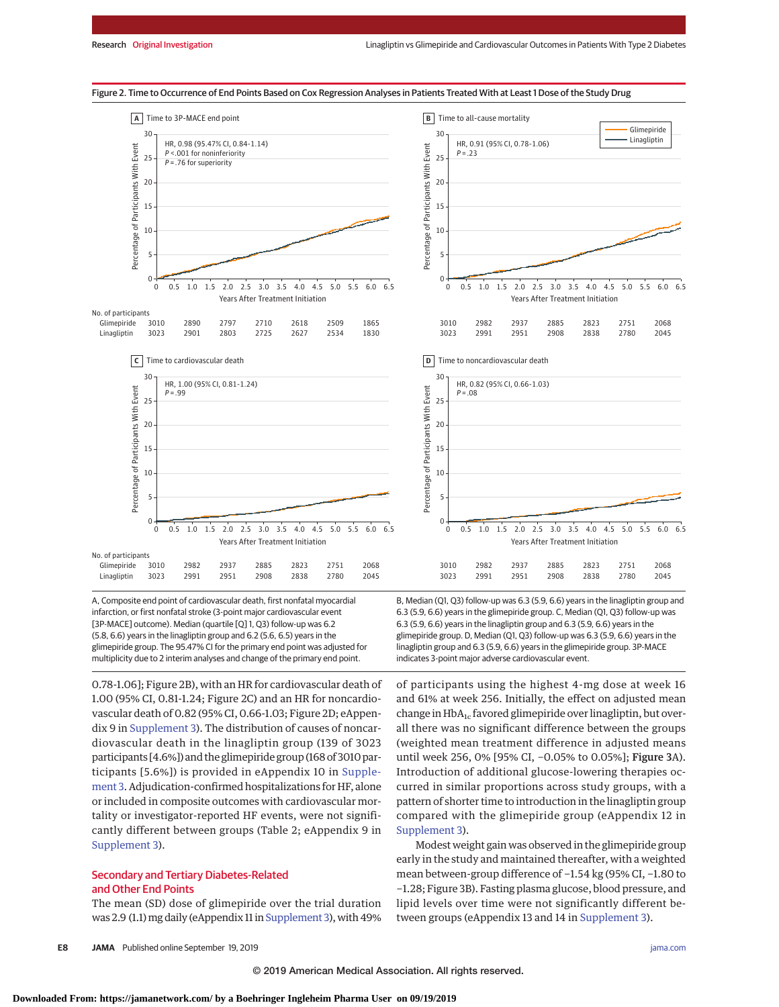

A, Composite end point of cardiovascular death, first nonfatal myocardial infarction, or first nonfatal stroke (3-point major cardiovascular event [3P-MACE] outcome). Median (quartile [Q] 1, Q3) follow-up was 6.2 (5.8, 6.6) years in the linagliptin group and 6.2 (5.6, 6.5) years in the glimepiride group. The 95.47% CI for the primary end point was adjusted for multiplicity due to 2 interim analyses and change of the primary end point.

B, Median (Q1, Q3) follow-up was 6.3 (5.9, 6.6) years in the linagliptin group and 6.3 (5.9, 6.6) years in the glimepiride group. C, Median (Q1, Q3) follow-up was 6.3 (5.9, 6.6) years in the linagliptin group and 6.3 (5.9, 6.6) years in the glimepiride group. D, Median (Q1, Q3) follow-up was 6.3 (5.9, 6.6) years in the linagliptin group and 6.3 (5.9, 6.6) years in the glimepiride group. 3P-MACE indicates 3-point major adverse cardiovascular event.

0.78-1.06]; Figure 2B), with an HR for cardiovascular death of 1.00 (95% CI, 0.81-1.24; Figure 2C) and an HR for noncardiovascular death of 0.82 (95% CI, 0.66-1.03; Figure 2D; eAppendix 9 in [Supplement 3\)](https://jama.jamanetwork.com/article.aspx?doi=10.1001/jama.2019.13772&utm_campaign=articlePDF%26utm_medium=articlePDFlink%26utm_source=articlePDF%26utm_content=jama.2019.13772). The distribution of causes of noncardiovascular death in the linagliptin group (139 of 3023 participants [4.6%]) and the glimepiride group (168 of 3010 participants [5.6%]) is provided in eAppendix 10 in [Supple](https://jama.jamanetwork.com/article.aspx?doi=10.1001/jama.2019.13772&utm_campaign=articlePDF%26utm_medium=articlePDFlink%26utm_source=articlePDF%26utm_content=jama.2019.13772)[ment 3.](https://jama.jamanetwork.com/article.aspx?doi=10.1001/jama.2019.13772&utm_campaign=articlePDF%26utm_medium=articlePDFlink%26utm_source=articlePDF%26utm_content=jama.2019.13772) Adjudication-confirmed hospitalizations for HF, alone or included in composite outcomes with cardiovascular mortality or investigator-reported HF events, were not significantly different between groups (Table 2; eAppendix 9 in [Supplement 3\)](https://jama.jamanetwork.com/article.aspx?doi=10.1001/jama.2019.13772&utm_campaign=articlePDF%26utm_medium=articlePDFlink%26utm_source=articlePDF%26utm_content=jama.2019.13772).

# Secondary and Tertiary Diabetes-Related and Other End Points

The mean (SD) dose of glimepiride over the trial duration was 2.9 (1.1) mg daily (eAppendix 11 in [Supplement 3\)](https://jama.jamanetwork.com/article.aspx?doi=10.1001/jama.2019.13772&utm_campaign=articlePDF%26utm_medium=articlePDFlink%26utm_source=articlePDF%26utm_content=jama.2019.13772), with 49% of participants using the highest 4-mg dose at week 16 and 61% at week 256. Initially, the effect on adjusted mean change in  $HbA_{1c}$  favored glimepiride over linagliptin, but overall there was no significant difference between the groups (weighted mean treatment difference in adjusted means until week 256, 0% [95% CI, −0.05% to 0.05%]; Figure 3A). Introduction of additional glucose-lowering therapies occurred in similar proportions across study groups, with a pattern of shorter time to introduction in the linagliptin group compared with the glimepiride group (eAppendix 12 in [Supplement 3\)](https://jama.jamanetwork.com/article.aspx?doi=10.1001/jama.2019.13772&utm_campaign=articlePDF%26utm_medium=articlePDFlink%26utm_source=articlePDF%26utm_content=jama.2019.13772).

Modest weight gain was observed in the glimepiride group early in the study and maintained thereafter, with a weighted mean between-group difference of −1.54 kg (95% CI, −1.80 to −1.28; Figure 3B). Fasting plasma glucose, blood pressure, and lipid levels over time were not significantly different between groups (eAppendix 13 and 14 in [Supplement 3\)](https://jama.jamanetwork.com/article.aspx?doi=10.1001/jama.2019.13772&utm_campaign=articlePDF%26utm_medium=articlePDFlink%26utm_source=articlePDF%26utm_content=jama.2019.13772).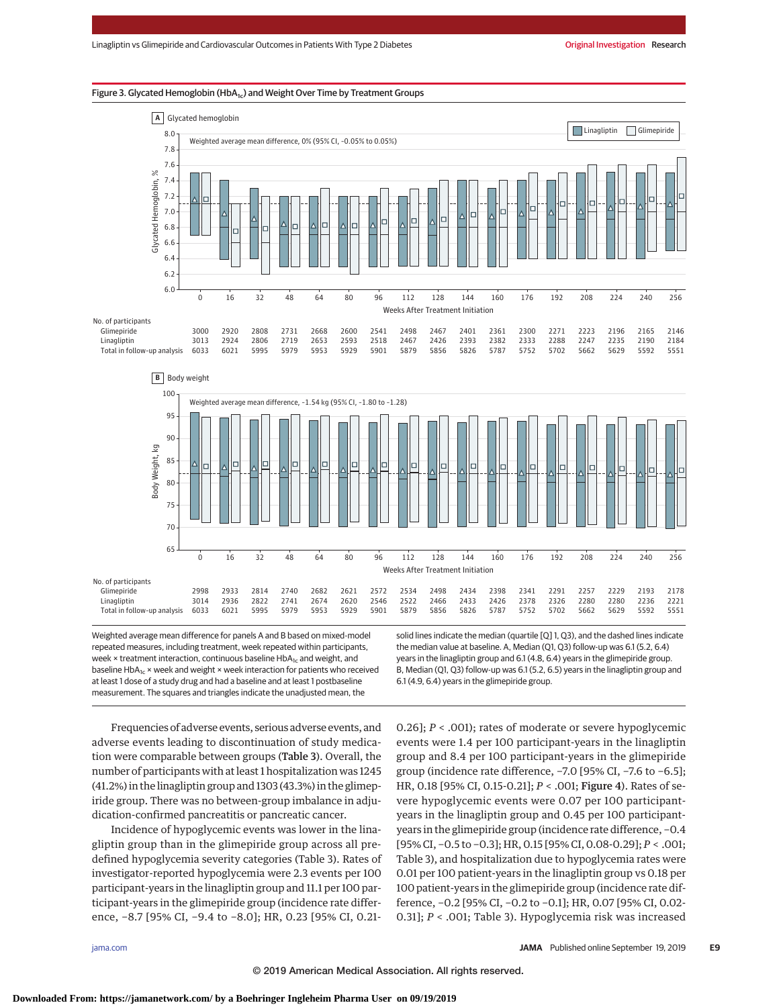#### Figure 3. Glycated Hemoglobin (HbA<sub>1c</sub>) and Weight Over Time by Treatment Groups





Weighted average mean difference for panels A and B based on mixed-model repeated measures, including treatment, week repeated within participants, week  $\times$  treatment interaction, continuous baseline HbA<sub>1c</sub> and weight, and baseline HbA $_{1c}$  × week and weight × week interaction for patients who received at least 1 dose of a study drug and had a baseline and at least 1 postbaseline measurement. The squares and triangles indicate the unadjusted mean, the

solid lines indicate the median (quartile [Q] 1, Q3), and the dashed lines indicate the median value at baseline. A, Median (Q1, Q3) follow-up was 6.1 (5.2, 6.4) years in the linagliptin group and 6.1 (4.8, 6.4) years in the glimepiride group. B, Median (Q1, Q3) follow-up was 6.1 (5.2, 6.5) years in the linagliptin group and 6.1 (4.9, 6.4) years in the glimepiride group.

Frequencies of adverse events, serious adverse events, and adverse events leading to discontinuation of study medication were comparable between groups (Table 3). Overall, the number of participants with at least 1 hospitalization was 1245 (41.2%) in the linagliptin group and 1303 (43.3%) in the glimepiride group. There was no between-group imbalance in adjudication-confirmed pancreatitis or pancreatic cancer.

Incidence of hypoglycemic events was lower in the linagliptin group than in the glimepiride group across all predefined hypoglycemia severity categories (Table 3). Rates of investigator-reported hypoglycemia were 2.3 events per 100 participant-years in the linagliptin group and 11.1 per 100 participant-years in the glimepiride group (incidence rate difference, −8.7 [95% CI, −9.4 to −8.0]; HR, 0.23 [95% CI, 0.210.26]; *P* < .001); rates of moderate or severe hypoglycemic events were 1.4 per 100 participant-years in the linagliptin group and 8.4 per 100 participant-years in the glimepiride group (incidence rate difference, −7.0 [95% CI, −7.6 to −6.5]; HR, 0.18 [95% CI, 0.15-0.21]; *P* < .001; Figure 4). Rates of severe hypoglycemic events were 0.07 per 100 participantyears in the linagliptin group and 0.45 per 100 participantyears in the glimepiride group (incidence rate difference, −0.4 [95% CI, −0.5 to −0.3]; HR, 0.15 [95% CI, 0.08-0.29]; *P* < .001; Table 3), and hospitalization due to hypoglycemia rates were 0.01 per 100 patient-years in the linagliptin group vs 0.18 per 100 patient-years in the glimepiride group (incidence rate difference, −0.2 [95% CI, −0.2 to −0.1]; HR, 0.07 [95% CI, 0.02- 0.31]; *P* < .001; Table 3). Hypoglycemia risk was increased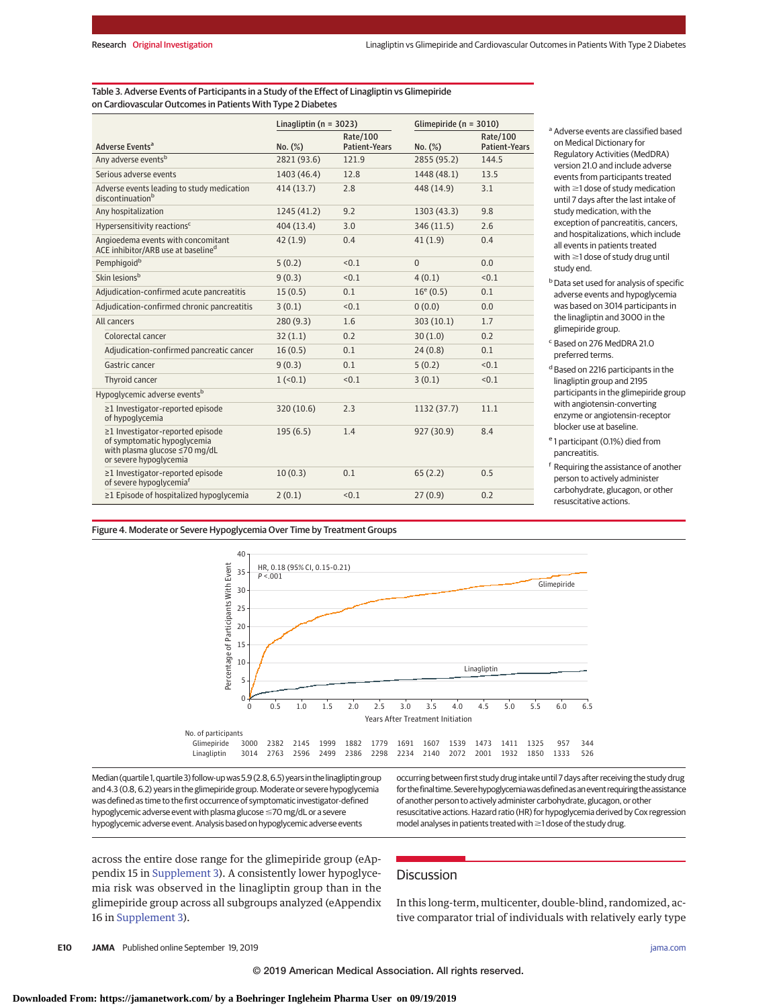# Table 3. Adverse Events of Participants in a Study of the Effect of Linagliptin vs Glimepiride on Cardiovascular Outcomes in Patients With Type 2 Diabetes

|                                                                                                                            | Linagliptin ( $n = 3023$ ) |                                  | Glimepiride ( $n = 3010$ ) |                                  |
|----------------------------------------------------------------------------------------------------------------------------|----------------------------|----------------------------------|----------------------------|----------------------------------|
| Adverse Events <sup>a</sup>                                                                                                | No. (%)                    | Rate/100<br><b>Patient-Years</b> | No. (%)                    | Rate/100<br><b>Patient-Years</b> |
| Any adverse events <sup>b</sup>                                                                                            | 2821 (93.6)                | 121.9                            | 2855 (95.2)                | 144.5                            |
| Serious adverse events                                                                                                     | 1403 (46.4)                | 12.8                             | 1448 (48.1)                | 13.5                             |
| Adverse events leading to study medication<br>discontinuation <sup>b</sup>                                                 | 414(13.7)                  | 2.8                              | 448 (14.9)                 | 3.1                              |
| Any hospitalization                                                                                                        | 1245 (41.2)                | 9.2                              | 1303 (43.3)                | 9.8                              |
| Hypersensitivity reactions <sup>c</sup>                                                                                    | 404(13.4)                  | 3.0                              | 346(11.5)                  | 2.6                              |
| Angioedema events with concomitant<br>ACE inhibitor/ARB use at baseline <sup>d</sup>                                       | 42(1.9)                    | 0.4                              | 41(1.9)                    | 0.4                              |
| Pemphigoid <sup>b</sup>                                                                                                    | 5(0.2)                     | < 0.1                            | $\Omega$                   | 0.0                              |
| Skin lesionsb                                                                                                              | 9(0.3)                     | < 0.1                            | 4(0.1)                     | < 0.1                            |
| Adjudication-confirmed acute pancreatitis                                                                                  | 15(0.5)                    | 0.1                              | $16^e (0.5)$               | 0.1                              |
| Adjudication-confirmed chronic pancreatitis                                                                                | 3(0.1)                     | < 0.1                            | 0(0.0)                     | 0.0                              |
| All cancers                                                                                                                | 280(9.3)                   | 1.6                              | 303(10.1)                  | 1.7                              |
| Colorectal cancer                                                                                                          | 32(1.1)                    | 0.2                              | 30(1.0)                    | 0.2                              |
| Adjudication-confirmed pancreatic cancer                                                                                   | 16(0.5)                    | 0.1                              | 24(0.8)                    | 0.1                              |
| Gastric cancer                                                                                                             | 9(0.3)                     | 0.1                              | 5(0.2)                     | < 0.1                            |
| Thyroid cancer                                                                                                             | 1 (< 0.1)                  | < 0.1                            | 3(0.1)                     | < 0.1                            |
| Hypoglycemic adverse eventsb                                                                                               |                            |                                  |                            |                                  |
| ≥1 Investigator-reported episode<br>of hypoglycemia                                                                        | 320(10.6)                  | 2.3                              | 1132 (37.7)                | 11.1                             |
| ≥1 Investigator-reported episode<br>of symptomatic hypoglycemia<br>with plasma glucose ≤70 mg/dL<br>or severe hypoglycemia | 195(6.5)                   | 1.4                              | 927 (30.9)                 | 8.4                              |
| ≥1 Investigator-reported episode<br>of severe hypoglycemia <sup>f</sup>                                                    | 10(0.3)                    | 0.1                              | 65(2.2)                    | 0.5                              |
| ≥1 Episode of hospitalized hypoglycemia                                                                                    | 2(0.1)                     | < 0.1                            | 27(0.9)                    | 0.2                              |

<sup>a</sup> Adverse events are classified based on Medical Dictionary for Regulatory Activities (MedDRA) version 21.0 and include adverse events from participants treated  $with  $\geq 1$  dose of study medication$ until 7 days after the last intake of study medication, with the exception of pancreatitis, cancers, and hospitalizations, which include all events in patients treated with  $\geq$ 1 dose of study drug until study end.

**b** Data set used for analysis of specific adverse events and hypoglycemia was based on 3014 participants in the linagliptin and 3000 in the glimepiride group.

<sup>c</sup> Based on 276 MedDRA 21.0 preferred terms.

<sup>d</sup> Based on 2216 participants in the linagliptin group and 2195 participants in the glimepiride group with angiotensin-converting enzyme or angiotensin-receptor blocker use at baseline.

<sup>e</sup> 1 participant (0.1%) died from pancreatitis.

<sup>f</sup> Requiring the assistance of another person to actively administer carbohydrate, glucagon, or other resuscitative actions.

### Figure 4. Moderate or Severe Hypoglycemia Over Time by Treatment Groups



Median (quartile 1, quartile 3) follow-upwas 5.9 (2.8,6.5)yearsin thelinagliptin group and 4.3 (0.8, 6.2) years in the glimepiride group. Moderate or severe hypoglycemia was defined as time to the first occurrence of symptomatic investigator-defined hypoglycemic adverse event with plasma glucose  $\leq$  70 mg/dL or a severe hypoglycemic adverse event. Analysis based on hypoglycemic adverse events

across the entire dose range for the glimepiride group (eAppendix 15 in [Supplement 3\)](https://jama.jamanetwork.com/article.aspx?doi=10.1001/jama.2019.13772&utm_campaign=articlePDF%26utm_medium=articlePDFlink%26utm_source=articlePDF%26utm_content=jama.2019.13772). A consistently lower hypoglycemia risk was observed in the linagliptin group than in the glimepiride group across all subgroups analyzed (eAppendix 16 in [Supplement 3\)](https://jama.jamanetwork.com/article.aspx?doi=10.1001/jama.2019.13772&utm_campaign=articlePDF%26utm_medium=articlePDFlink%26utm_source=articlePDF%26utm_content=jama.2019.13772).

### occurring between first study drug intake until 7 days after receiving the study drug for the final time. Severe hypoglycemia was defined as an event requiring the assistance of another person to actively administer carbohydrate, glucagon, or other resuscitative actions. Hazard ratio (HR) for hypoglycemia derived by Cox regression model analyses in patients treated with  $\geq$ 1 dose of the study drug.

# **Discussion**

In this long-term, multicenter, double-blind, randomized, active comparator trial of individuals with relatively early type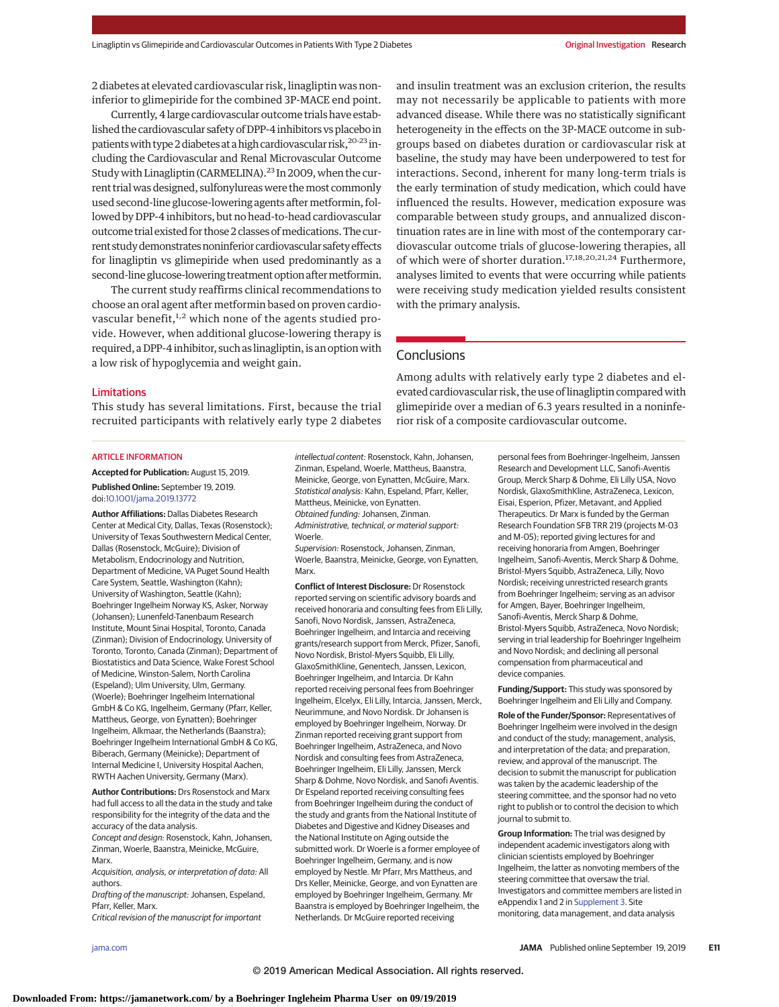2 diabetes at elevated cardiovascular risk, linagliptin was noninferior to glimepiride for the combined 3P-MACE end point.

Currently, 4 large cardiovascular outcome trials have established the cardiovascular safety of DPP-4 inhibitors vs placebo in patients with type 2 diabetes at a high cardiovascular risk,  $20-23$  including the Cardiovascular and Renal Microvascular Outcome Study with Linagliptin (CARMELINA).<sup>23</sup> In 2009, when the current trial was designed, sulfonylureas were themost commonly used second-line glucose-lowering agents after metformin, followed by DPP-4 inhibitors, but no head-to-head cardiovascular outcome trial existed for those 2 classes of medications. The current study demonstrates noninferior cardiovascular safety effects for linagliptin vs glimepiride when used predominantly as a second-line glucose-lowering treatment option after metformin.

The current study reaffirms clinical recommendations to choose an oral agent after metformin based on proven cardiovascular benefit, $1,2$  which none of the agents studied provide. However, when additional glucose-lowering therapy is required, a DPP-4 inhibitor, such as linagliptin, is an option with a low risk of hypoglycemia and weight gain.

# and insulin treatment was an exclusion criterion, the results may not necessarily be applicable to patients with more advanced disease. While there was no statistically significant heterogeneity in the effects on the 3P-MACE outcome in subgroups based on diabetes duration or cardiovascular risk at baseline, the study may have been underpowered to test for interactions. Second, inherent for many long-term trials is the early termination of study medication, which could have influenced the results. However, medication exposure was comparable between study groups, and annualized discontinuation rates are in line with most of the contemporary cardiovascular outcome trials of glucose-lowering therapies, all of which were of shorter duration.17,18,20,21,24 Furthermore, analyses limited to events that were occurring while patients were receiving study medication yielded results consistent with the primary analysis.

Among adults with relatively early type 2 diabetes and elevated cardiovascular risk, the use of linagliptin compared with glimepiride over a median of 6.3 years resulted in a noninfe-

rior risk of a composite cardiovascular outcome.

# **Conclusions**

# Limitations

This study has several limitations. First, because the trial recruited participants with relatively early type 2 diabetes

#### ARTICLE INFORMATION

**Accepted for Publication:** August 15, 2019. **Published Online:** September 19, 2019. doi[:10.1001/jama.2019.13772](https://jama.jamanetwork.com/article.aspx?doi=10.1001/jama.2019.13772&utm_campaign=articlePDF%26utm_medium=articlePDFlink%26utm_source=articlePDF%26utm_content=jama.2019.13772)

**Author Affiliations:** Dallas Diabetes Research Center at Medical City, Dallas, Texas (Rosenstock); University of Texas Southwestern Medical Center, Dallas (Rosenstock, McGuire); Division of Metabolism, Endocrinology and Nutrition, Department of Medicine, VA Puget Sound Health Care System, Seattle, Washington (Kahn); University of Washington, Seattle (Kahn); Boehringer Ingelheim Norway KS, Asker, Norway (Johansen); Lunenfeld-Tanenbaum Research Institute, Mount Sinai Hospital, Toronto, Canada (Zinman); Division of Endocrinology, University of Toronto, Toronto, Canada (Zinman); Department of Biostatistics and Data Science, Wake Forest School of Medicine, Winston-Salem, North Carolina (Espeland); Ulm University, Ulm, Germany. (Woerle); Boehringer Ingelheim International GmbH & Co KG, Ingelheim, Germany (Pfarr, Keller, Mattheus, George, von Eynatten); Boehringer Ingelheim, Alkmaar, the Netherlands (Baanstra); Boehringer Ingelheim International GmbH & Co KG, Biberach, Germany (Meinicke); Department of Internal Medicine I, University Hospital Aachen, RWTH Aachen University, Germany (Marx).

**Author Contributions:** Drs Rosenstock and Marx had full access to all the data in the study and take responsibility for the integrity of the data and the accuracy of the data analysis.

Concept and design: Rosenstock, Kahn, Johansen, Zinman, Woerle, Baanstra, Meinicke, McGuire, Marx.

Acquisition, analysis, or interpretation of data: All authors.

Drafting of the manuscript: Johansen, Espeland, Pfarr, Keller, Marx.

Critical revision of the manuscript for important

intellectual content: Rosenstock, Kahn, Johansen, Zinman, Espeland, Woerle, Mattheus, Baanstra, Meinicke, George, von Eynatten, McGuire, Marx. Statistical analysis: Kahn, Espeland, Pfarr, Keller, Mattheus, Meinicke, von Eynatten. Obtained funding: Johansen, Zinman. Administrative, technical, or material support: Woerle.

Supervision: Rosenstock, Johansen, Zinman, Woerle, Baanstra, Meinicke, George, von Eynatten, Marx.

**Conflict of Interest Disclosure:** Dr Rosenstock reported serving on scientific advisory boards and received honoraria and consulting fees from Eli Lilly, Sanofi, Novo Nordisk, Janssen, AstraZeneca, Boehringer Ingelheim, and Intarcia and receiving grants/research support from Merck, Pfizer, Sanofi, Novo Nordisk, Bristol-Myers Squibb, Eli Lilly, GlaxoSmithKline, Genentech, Janssen, Lexicon, Boehringer Ingelheim, and Intarcia. Dr Kahn reported receiving personal fees from Boehringer Ingelheim, Elcelyx, Eli Lilly, Intarcia, Janssen, Merck, Neurimmune, and Novo Nordisk. Dr Johansen is employed by Boehringer Ingelheim, Norway. Dr Zinman reported receiving grant support from Boehringer Ingelheim, AstraZeneca, and Novo Nordisk and consulting fees from AstraZeneca, Boehringer Ingelheim, Eli Lilly, Janssen, Merck Sharp & Dohme, Novo Nordisk, and Sanofi Aventis. Dr Espeland reported receiving consulting fees from Boehringer Ingelheim during the conduct of the study and grants from the National Institute of Diabetes and Digestive and Kidney Diseases and the National Institute on Aging outside the submitted work. Dr Woerle is a former employee of Boehringer Ingelheim, Germany, and is now employed by Nestle. Mr Pfarr, Mrs Mattheus, and Drs Keller, Meinicke, George, and von Eynatten are employed by Boehringer Ingelheim, Germany. Mr Baanstra is employed by Boehringer Ingelheim, the Netherlands. Dr McGuire reported receiving

personal fees from Boehringer-Ingelheim, Janssen Research and Development LLC, Sanofi-Aventis Group, Merck Sharp & Dohme, Eli Lilly USA, Novo Nordisk, GlaxoSmithKline, AstraZeneca, Lexicon, Eisai, Esperion, Pfizer, Metavant, and Applied Therapeutics. Dr Marx is funded by the German Research Foundation SFB TRR 219 (projects M-03 and M-05); reported giving lectures for and receiving honoraria from Amgen, Boehringer Ingelheim, Sanofi-Aventis, Merck Sharp & Dohme, Bristol-Myers Squibb, AstraZeneca, Lilly, Novo Nordisk; receiving unrestricted research grants from Boehringer Ingelheim; serving as an advisor for Amgen, Bayer, Boehringer Ingelheim, Sanofi-Aventis, Merck Sharp & Dohme, Bristol-Myers Squibb, AstraZeneca, Novo Nordisk; serving in trial leadership for Boehringer Ingelheim and Novo Nordisk; and declining all personal compensation from pharmaceutical and device companies.

**Funding/Support:** This study was sponsored by Boehringer Ingelheim and Eli Lilly and Company.

**Role of the Funder/Sponsor:** Representatives of Boehringer Ingelheim were involved in the design and conduct of the study; management, analysis, and interpretation of the data; and preparation, review, and approval of the manuscript. The decision to submit the manuscript for publication was taken by the academic leadership of the steering committee, and the sponsor had no veto right to publish or to control the decision to which journal to submit to.

**Group Information:** The trial was designed by independent academic investigators along with clinician scientists employed by Boehringer Ingelheim, the latter as nonvoting members of the steering committee that oversaw the trial. Investigators and committee members are listed in eAppendix 1 and 2 in [Supplement 3.](https://jama.jamanetwork.com/article.aspx?doi=10.1001/jama.2019.13772&utm_campaign=articlePDF%26utm_medium=articlePDFlink%26utm_source=articlePDF%26utm_content=jama.2019.13772) Site monitoring, data management, and data analysis